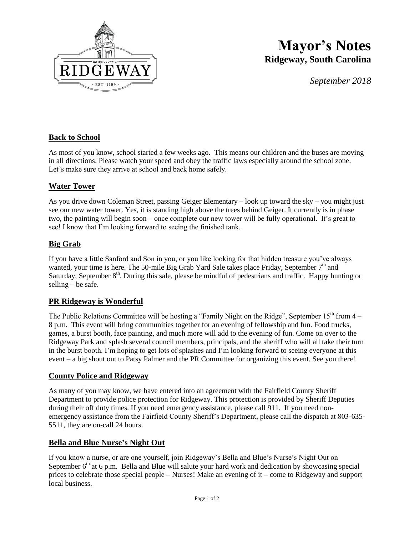

# **Mayor's Notes Ridgeway, South Carolina**

*September 2018*

## **Back to School**

As most of you know, school started a few weeks ago. This means our children and the buses are moving in all directions. Please watch your speed and obey the traffic laws especially around the school zone. Let's make sure they arrive at school and back home safely.

### **Water Tower**

As you drive down Coleman Street, passing Geiger Elementary – look up toward the sky – you might just see our new water tower. Yes, it is standing high above the trees behind Geiger. It currently is in phase two, the painting will begin soon – once complete our new tower will be fully operational. It's great to see! I know that I'm looking forward to seeing the finished tank.

#### **Big Grab**

If you have a little Sanford and Son in you, or you like looking for that hidden treasure you've always wanted, your time is here. The 50-mile Big Grab Yard Sale takes place Friday, September  $7<sup>th</sup>$  and Saturday, September  $8<sup>th</sup>$ . During this sale, please be mindful of pedestrians and traffic. Happy hunting or selling – be safe.

#### **PR Ridgeway is Wonderful**

The Public Relations Committee will be hosting a "Family Night on the Ridge", September  $15<sup>th</sup>$  from  $4-$ 8 p.m. This event will bring communities together for an evening of fellowship and fun. Food trucks, games, a burst booth, face painting, and much more will add to the evening of fun. Come on over to the Ridgeway Park and splash several council members, principals, and the sheriff who will all take their turn in the burst booth. I'm hoping to get lots of splashes and I'm looking forward to seeing everyone at this event – a big shout out to Patsy Palmer and the PR Committee for organizing this event. See you there!

#### **County Police and Ridgeway**

As many of you may know, we have entered into an agreement with the Fairfield County Sheriff Department to provide police protection for Ridgeway. This protection is provided by Sheriff Deputies during their off duty times. If you need emergency assistance, please call 911. If you need nonemergency assistance from the Fairfield County Sheriff's Department, please call the dispatch at 803-635- 5511, they are on-call 24 hours.

#### **Bella and Blue Nurse's Night Out**

If you know a nurse, or are one yourself, join Ridgeway's Bella and Blue's Nurse's Night Out on September  $6<sup>th</sup>$  at 6 p.m. Bella and Blue will salute your hard work and dedication by showcasing special prices to celebrate those special people – Nurses! Make an evening of it – come to Ridgeway and support local business.